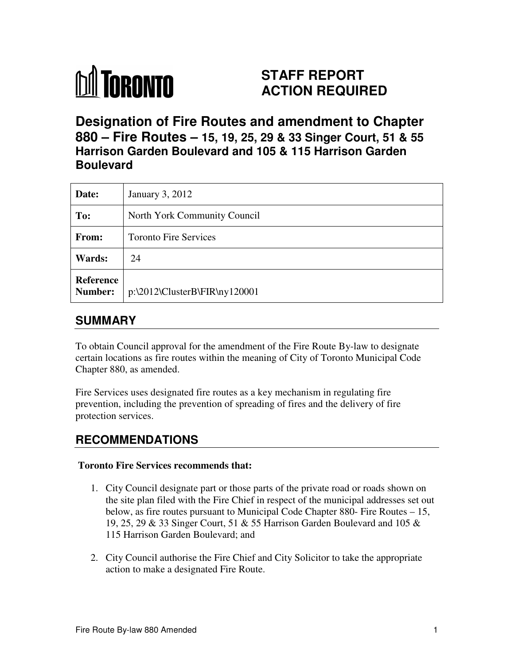

# **STAFF REPORT ACTION REQUIRED**

**Designation of Fire Routes and amendment to Chapter 880 – Fire Routes – 15, 19, 25, 29 & 33 Singer Court, 51 & 55 Harrison Garden Boulevard and 105 & 115 Harrison Garden Boulevard**

| Date:                       | January 3, 2012                  |
|-----------------------------|----------------------------------|
| To:                         | North York Community Council     |
| From:                       | <b>Toronto Fire Services</b>     |
| Wards:                      | 24                               |
| <b>Reference</b><br>Number: | $p:\2012\ClusterB\FR\n\ny120001$ |

### **SUMMARY**

To obtain Council approval for the amendment of the Fire Route By-law to designate certain locations as fire routes within the meaning of City of Toronto Municipal Code Chapter 880, as amended.

Fire Services uses designated fire routes as a key mechanism in regulating fire prevention, including the prevention of spreading of fires and the delivery of fire protection services.

## **RECOMMENDATIONS**

#### **Toronto Fire Services recommends that:**

- 1. City Council designate part or those parts of the private road or roads shown on the site plan filed with the Fire Chief in respect of the municipal addresses set out below, as fire routes pursuant to Municipal Code Chapter 880- Fire Routes – 15, 19, 25, 29 & 33 Singer Court, 51 & 55 Harrison Garden Boulevard and 105 & 115 Harrison Garden Boulevard; and
- 2. City Council authorise the Fire Chief and City Solicitor to take the appropriate action to make a designated Fire Route.